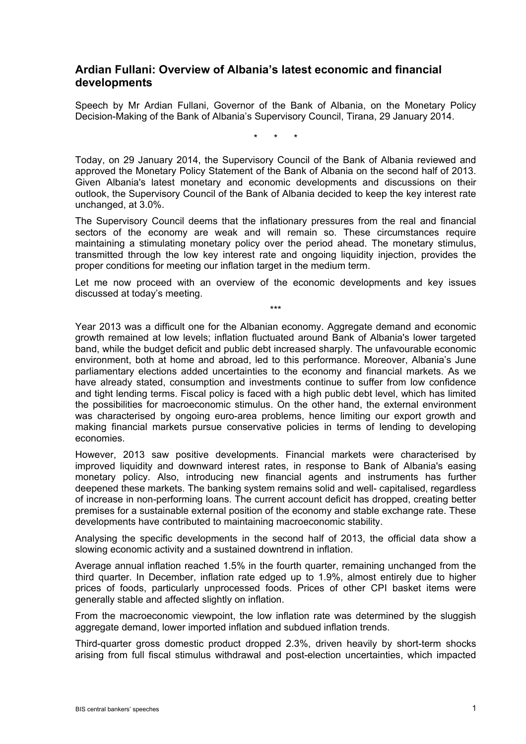## **Ardian Fullani: Overview of Albania's latest economic and financial developments**

Speech by Mr Ardian Fullani, Governor of the Bank of Albania, on the Monetary Policy Decision-Making of the Bank of Albania's Supervisory Council, Tirana, 29 January 2014.

\* \* \*

Today, on 29 January 2014, the Supervisory Council of the Bank of Albania reviewed and approved the Monetary Policy Statement of the Bank of Albania on the second half of 2013. Given Albania's latest monetary and economic developments and discussions on their outlook, the Supervisory Council of the Bank of Albania decided to keep the key interest rate unchanged, at 3.0%.

The Supervisory Council deems that the inflationary pressures from the real and financial sectors of the economy are weak and will remain so. These circumstances require maintaining a stimulating monetary policy over the period ahead. The monetary stimulus, transmitted through the low key interest rate and ongoing liquidity injection, provides the proper conditions for meeting our inflation target in the medium term.

Let me now proceed with an overview of the economic developments and key issues discussed at today's meeting.

\*\*\*

Year 2013 was a difficult one for the Albanian economy. Aggregate demand and economic growth remained at low levels; inflation fluctuated around Bank of Albania's lower targeted band, while the budget deficit and public debt increased sharply. The unfavourable economic environment, both at home and abroad, led to this performance. Moreover, Albania's June parliamentary elections added uncertainties to the economy and financial markets. As we have already stated, consumption and investments continue to suffer from low confidence and tight lending terms. Fiscal policy is faced with a high public debt level, which has limited the possibilities for macroeconomic stimulus. On the other hand, the external environment was characterised by ongoing euro-area problems, hence limiting our export growth and making financial markets pursue conservative policies in terms of lending to developing economies.

However, 2013 saw positive developments. Financial markets were characterised by improved liquidity and downward interest rates, in response to Bank of Albania's easing monetary policy. Also, introducing new financial agents and instruments has further deepened these markets. The banking system remains solid and well- capitalised, regardless of increase in non-performing loans. The current account deficit has dropped, creating better premises for a sustainable external position of the economy and stable exchange rate. These developments have contributed to maintaining macroeconomic stability.

Analysing the specific developments in the second half of 2013, the official data show a slowing economic activity and a sustained downtrend in inflation.

Average annual inflation reached 1.5% in the fourth quarter, remaining unchanged from the third quarter. In December, inflation rate edged up to 1.9%, almost entirely due to higher prices of foods, particularly unprocessed foods. Prices of other CPI basket items were generally stable and affected slightly on inflation.

From the macroeconomic viewpoint, the low inflation rate was determined by the sluggish aggregate demand, lower imported inflation and subdued inflation trends.

Third-quarter gross domestic product dropped 2.3%, driven heavily by short-term shocks arising from full fiscal stimulus withdrawal and post-election uncertainties, which impacted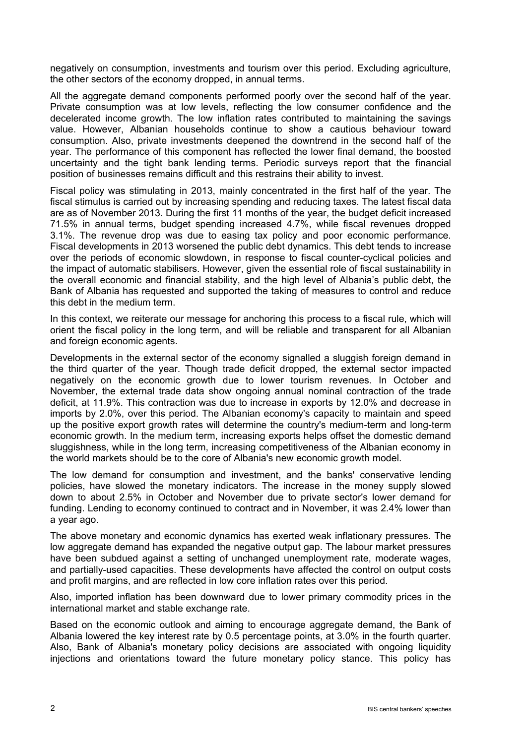negatively on consumption, investments and tourism over this period. Excluding agriculture, the other sectors of the economy dropped, in annual terms.

All the aggregate demand components performed poorly over the second half of the year. Private consumption was at low levels, reflecting the low consumer confidence and the decelerated income growth. The low inflation rates contributed to maintaining the savings value. However, Albanian households continue to show a cautious behaviour toward consumption. Also, private investments deepened the downtrend in the second half of the year. The performance of this component has reflected the lower final demand, the boosted uncertainty and the tight bank lending terms. Periodic surveys report that the financial position of businesses remains difficult and this restrains their ability to invest.

Fiscal policy was stimulating in 2013, mainly concentrated in the first half of the year. The fiscal stimulus is carried out by increasing spending and reducing taxes. The latest fiscal data are as of November 2013. During the first 11 months of the year, the budget deficit increased 71.5% in annual terms, budget spending increased 4.7%, while fiscal revenues dropped 3.1%. The revenue drop was due to easing tax policy and poor economic performance. Fiscal developments in 2013 worsened the public debt dynamics. This debt tends to increase over the periods of economic slowdown, in response to fiscal counter-cyclical policies and the impact of automatic stabilisers. However, given the essential role of fiscal sustainability in the overall economic and financial stability, and the high level of Albania's public debt, the Bank of Albania has requested and supported the taking of measures to control and reduce this debt in the medium term.

In this context, we reiterate our message for anchoring this process to a fiscal rule, which will orient the fiscal policy in the long term, and will be reliable and transparent for all Albanian and foreign economic agents.

Developments in the external sector of the economy signalled a sluggish foreign demand in the third quarter of the year. Though trade deficit dropped, the external sector impacted negatively on the economic growth due to lower tourism revenues. In October and November, the external trade data show ongoing annual nominal contraction of the trade deficit, at 11.9%. This contraction was due to increase in exports by 12.0% and decrease in imports by 2.0%, over this period. The Albanian economy's capacity to maintain and speed up the positive export growth rates will determine the country's medium-term and long-term economic growth. In the medium term, increasing exports helps offset the domestic demand sluggishness, while in the long term, increasing competitiveness of the Albanian economy in the world markets should be to the core of Albania's new economic growth model.

The low demand for consumption and investment, and the banks' conservative lending policies, have slowed the monetary indicators. The increase in the money supply slowed down to about 2.5% in October and November due to private sector's lower demand for funding. Lending to economy continued to contract and in November, it was 2.4% lower than a year ago.

The above monetary and economic dynamics has exerted weak inflationary pressures. The low aggregate demand has expanded the negative output gap. The labour market pressures have been subdued against a setting of unchanged unemployment rate, moderate wages, and partially-used capacities. These developments have affected the control on output costs and profit margins, and are reflected in low core inflation rates over this period.

Also, imported inflation has been downward due to lower primary commodity prices in the international market and stable exchange rate.

Based on the economic outlook and aiming to encourage aggregate demand, the Bank of Albania lowered the key interest rate by 0.5 percentage points, at 3.0% in the fourth quarter. Also, Bank of Albania's monetary policy decisions are associated with ongoing liquidity injections and orientations toward the future monetary policy stance. This policy has